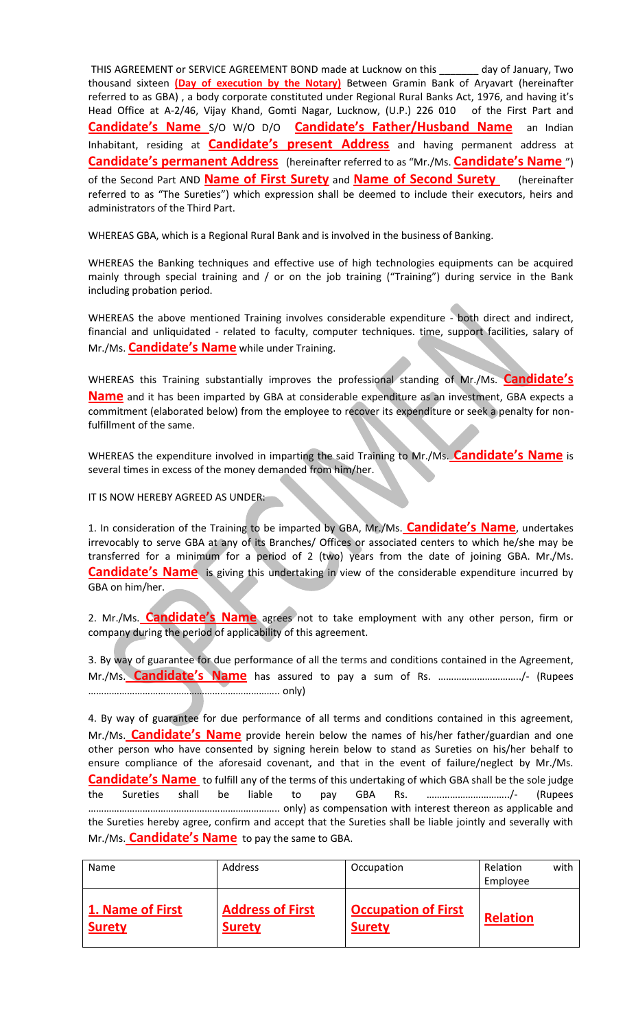THIS AGREEMENT or SERVICE AGREEMENT BOND made at Lucknow on this \_\_\_\_\_\_\_ day of January, Two thousand sixteen **(Day of execution by the Notary)** Between Gramin Bank of Aryavart (hereinafter referred to as GBA) , a body corporate constituted under Regional Rural Banks Act, 1976, and having it's Head Office at A-2/46, Vijay Khand, Gomti Nagar, Lucknow, (U.P.) 226 010 of the First Part and **Candidate's Name** S/O W/O D/O **Candidate's Father/Husband Name** an Indian Inhabitant, residing at **Candidate's present Address** and having permanent address at **Candidate's permanent Address** (hereinafter referred to as "Mr./Ms. **Candidate's Name** ") of the Second Part AND **Name of First Surety** and **Name of Second Surety** (hereinafter referred to as "The Sureties") which expression shall be deemed to include their executors, heirs and administrators of the Third Part.

WHEREAS GBA, which is a Regional Rural Bank and is involved in the business of Banking.

WHEREAS the Banking techniques and effective use of high technologies equipments can be acquired mainly through special training and / or on the job training ("Training") during service in the Bank including probation period.

WHEREAS the above mentioned Training involves considerable expenditure - both direct and indirect, financial and unliquidated - related to faculty, computer techniques. time, support facilities, salary of Mr./Ms. **Candidate's Name** while under Training.

WHEREAS this Training substantially improves the professional standing of Mr./Ms. **Candidate's Name** and it has been imparted by GBA at considerable expenditure as an investment, GBA expects a commitment (elaborated below) from the employee to recover its expenditure or seek a penalty for nonfulfillment of the same.

WHEREAS the expenditure involved in imparting the said Training to Mr./Ms. **Candidate's Name** is several times in excess of the money demanded from him/her.

IT IS NOW HEREBY AGREED AS UNDER:

1. In consideration of the Training to be imparted by GBA, Mr./Ms. **Candidate's Name**, undertakes irrevocably to serve GBA at any of its Branches/ Offices or associated centers to which he/she may be transferred for a minimum for a period of 2 (two) years from the date of joining GBA. Mr./Ms. **Candidate's Name** is giving this undertaking in view of the considerable expenditure incurred by GBA on him/her.

2. Mr./Ms. **Candidate's Name** agrees not to take employment with any other person, firm or company during the period of applicability of this agreement.

3. By way of guarantee for due performance of all the terms and conditions contained in the Agreement, Mr./Ms. **Candidate's Name** has assured to pay a sum of Rs. …………………………../- (Rupees ……………………………………………………………….. only)

4. By way of guarantee for due performance of all terms and conditions contained in this agreement, Mr./Ms. **Candidate's Name** provide herein below the names of his/her father/guardian and one other person who have consented by signing herein below to stand as Sureties on his/her behalf to ensure compliance of the aforesaid covenant, and that in the event of failure/neglect by Mr./Ms. **Candidate's Name** to fulfill any of the terms of this undertaking of which GBA shall be the sole judge the Sureties shall be liable to pay GBA Rs. …………………………../- (Rupees ……………………………………………………………….. only) as compensation with interest thereon as applicable and the Sureties hereby agree, confirm and accept that the Sureties shall be liable jointly and severally with Mr./Ms. **Candidate's Name** to pay the same to GBA.

| Name                                     | Address                                  | Occupation                                  | Relation<br>Employee | with |
|------------------------------------------|------------------------------------------|---------------------------------------------|----------------------|------|
| <b>1. Name of First</b><br><b>Surety</b> | <b>Address of First</b><br><b>Surety</b> | <b>Occupation of First</b><br><b>Surety</b> | <b>Relation</b>      |      |